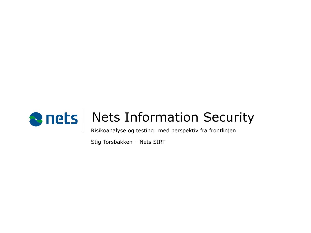

Risikoanalyse og testing: med perspektiv fra frontlinjen

Stig Torsbakken – Nets SIRT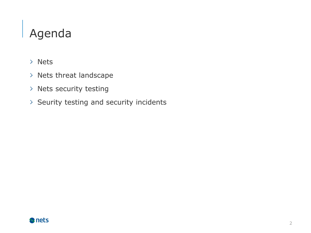# Agenda

- Nets
- > Nets threat landscape
- > Nets security testing
- $>$  Seurity testing and security incidents

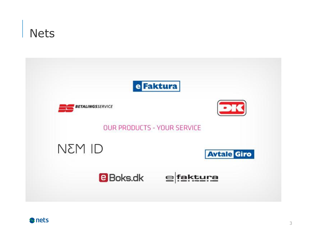

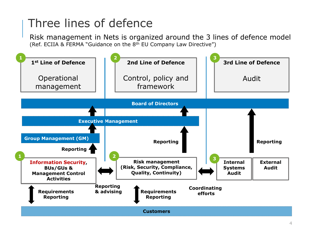## Three lines of defence

Risk management in Nets is organized around the 3 lines of defence model (Ref. ECIIA & FERMA "Guidance on the 8th EU Company Law Directive")

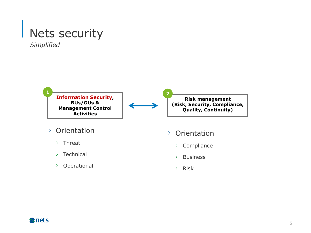## Nets security

*Simplified*



- $>$  Threat
- $\angle$  Technical
- Operational
- > Compliance
- $\angle$  Business
- $>$  Risk

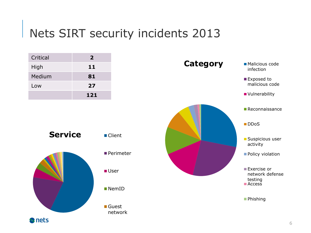## Nets SIRT security incidents 2013

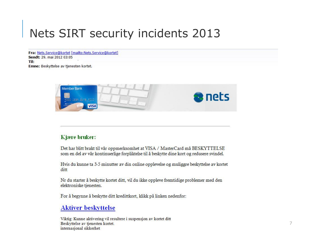## Nets SIRT security incidents 2013

Fra: Nets.Service@kortet [mailto:Nets.Service@kortet] Sendt: 29. mai 2012 03:05 Til: Emne: Beskyttelse av tjenesten kortet.



#### Kjære bruker:

Det har blitt brakt til vår oppmerksomhet at VISA / MasterCard må BESKYTTELSE som en del av vår kontinuerlige forpliktelse til å beskytte dine kort og redusere svindel.

Hvis du kunne ta 3-5 minutter av din online opplevelse og muliggre beskyttelse av kortet ditt

Nr du starter å beskytte kortet ditt, vil du ikke oppleve fremtidige problemer med den elektroniske tjenesten.

For å begynne å beskytte ditt kredittkort, klikk på linken nedenfor:

### **Aktiver beskyttelse**

Viktig: Kunne aktivering vil resultere i suspensjon av kortet ditt Beskyttelse av tjenesten kortet. internasjonal sikkerhet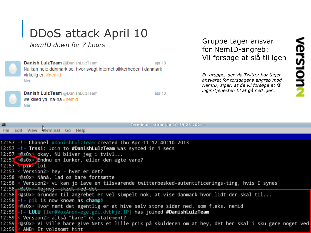# DDoS attack April 10

*NemID down for 7 hours*



Danish Luiz Team @DanishLulzTeam apr 10 Nu kan hele danmark se, hvor svagt internet sikkerheden i danmark virkelig er. #nemid Mer



**Danish LuizTeam @DanishLuizTeam** we killed ya, ha-ha #nemid Mer

apr 10

## Gruppe tager ansvar for NemID-angreb: Vil forsøge at slå til igen

*En gruppe, der via Twitter har taget ansvaret for torsdagens angreb mod NemID, siger, at de vil forsøge at få login-tjenesten til at gå ned igen.*

| 圖 | Terminal - stitor@ip-10-39-25-202: ~                                                                                         |
|---|------------------------------------------------------------------------------------------------------------------------------|
|   | File Edit View rerminal Go Help                                                                                              |
|   |                                                                                                                              |
|   | 12:57 -!- Channel #DanishLulzTeam created Thu Apr 11 12:40:10 2013                                                           |
|   | 12:57 -!- Irssi: Join to #DanishLulzTeam was synced in 1 secs                                                                |
|   | 12:57 <@s0x> okay, NU bliver jeg i tvivl                                                                                     |
|   | 12:57 <@s0x> Endnu en lurker, eller den ægte vare?                                                                           |
|   | $12:57$ $p\text{-}$ $p\text{-}$ $\infty$ $101$                                                                               |
|   | $12:57 < Version2 >$ hey - hvem er det?                                                                                      |
|   | 12:58 <@s0x> Nånå, lad os bare fortsætte                                                                                     |
|   | 12:58 < Version2> vi kan jo lave en tilsvarende twitterbesked-autentificerings-ting, hvis I synes                            |
|   | $12:58$ escape Nainei, shidt mad det                                                                                         |
|   | 12:58 ⊲@s0x> Grunden til angrebet er vel simpelt nok, at vise danmark hvor lidt der skal til                                 |
|   | 12:58 -!- pik is now known as <b>champ1</b>                                                                                  |
|   | 12:59 <@s0x> Hvor nemt det egentlig er at hive selv store sider ned, som f.eks. nemid                                        |
|   | 12:59 <mark> -!- LULU</mark> [len@VoxAnon-ege.gdl.dvbkje.IP] has joined <b>#DanishLulzTeam</b>                               |
|   | 12:59 < Version2> altså "bare" et statement?                                                                                 |
|   | 12:59 <mark> ⊲@sOx&gt; Vi ville bare give Nets et lille prik på skulderen om at hey, det her skal i sku gøre noget ve</mark> |
|   | 12:59 < ANB> Et voldsomt hint                                                                                                |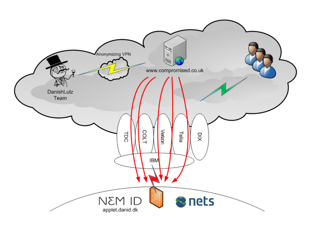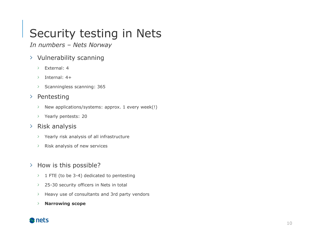### s t e r t e x t s ty l e s Security testing in Nets

*In numbers – Nets Norway*

- Vulnerability scanning
	- External: 4  $\sum$
	- Internal: 4+  $\sum$
	- Scanningless scanning: 365  $\geq$

## $\triangleright$  Pentesting

- New applications/systems: approx. 1 every week(!)  $\sum_{i=1}^{n}$
- > Yearly pentests: 20

## $\angle$  Risk analysis

- $\angle$  Yearly risk analysis of all infrastructure
- Risk analysis of new services  $\sum_{i=1}^{n}$
- > How is this possible?
	- $\geq 1$  FTE (to be 3-4) dedicated to pentesting
	- $25-30$  security officers in Nets in total
	- $\sum_{i=1}^{n}$ Heavy use of consultants and 3rd party vendors
	- **Narrowing scope**  $\sum_{i=1}^{n}$

## **S** nets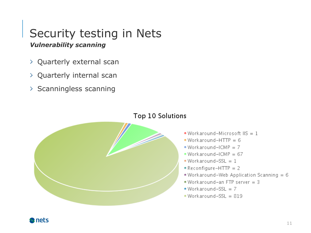#### a s t e r t e x t s ty l e s *Vulnerability scanning* Security testing in Nets

- Quarterly external scan
- Quarterly internal scan
- $\rightarrow$  Scanningless scanning



### Top 10 Solutions

- Workaround-Microsoft  $\text{I} \text{I} \text{S} = 1$
- Workaround-HTTP =  $6$
- Workaround-ICMP =  $7$
- Workaround-ICMP =  $67$
- Workaround-SSL =  $1$
- Reconfigure-HTTP =  $2$
- Workaround-Web Application Scanning =  $6$
- . Workaround-an FTP server = 3
- Workaround-SSL =  $7$
- $Workaround-SSL = 819$

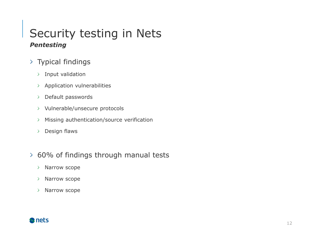### M a s t e r t e x t s ty l e s *Pentesting* Security testing in Nets

- $\rightarrow$  Typical findings
	- $>$  Input validation
	- Application vulnerabilities
	- Default passwords  $\sum_{i=1}^{n}$
	- > Vulnerable/unsecure protocols
	- Missing authentication/source verification  $\sum_{i=1}^{n}$
	- Design flaws  $\sum_{i=1}^{n}$
- 60% of findings through manual tests
	- > Narrow scope
	- Narrow scope  $\sum_{i=1}^{n}$
	- Narrow scope  $\sum_{i=1}^{n}$

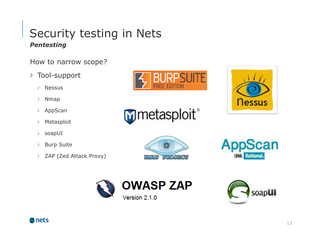### a s t e r t e x t s ty l e s *Pentesting* Security testing in Nets

How to narrow scope?

- Tool-support
	- Nessus  $\sum$
	- $\sum_{i=1}^{n}$ Nmap
	- AppScan  $\geq$
	- Metasploit  $\sum$
	- soapUI  $\sum_{i=1}^{n}$
	- Burp Suite  $\sum_{i=1}^{n}$
	- ZAP (Zed Attack Proxy)  $\sum$















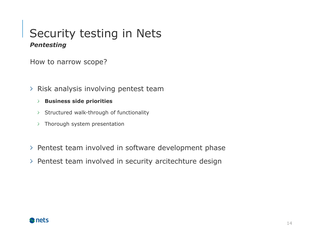### M a s t e r t e x t s ty l e s *Pentesting* Security testing in Nets

How to narrow scope?

- $>$  Risk analysis involving pentest team
	- **Business side priorities**
	- $>$  Structured walk-through of functionality
	- $\rightarrow$  Thorough system presentation
- $\ge$  Pentest team involved in software development phase
- $\rightarrow$  Pentest team involved in security arcitechture design

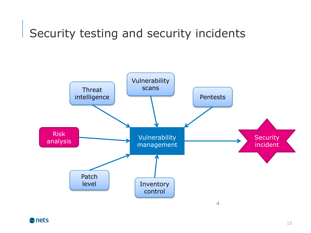#### M a s t e r t e x t s ty l e s Security testing and security incidents

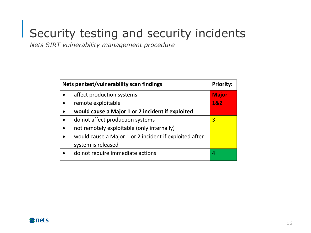#### M a s t e r t e x t s ty l e s Security testing and security incidents

*Nets SIRT vulnerability management procedure*

| Nets pentest/vulnerability scan findings |                                                        | <b>Priority:</b> |
|------------------------------------------|--------------------------------------------------------|------------------|
|                                          | affect production systems                              | <b>Major</b>     |
|                                          | remote exploitable                                     | 1&2              |
|                                          | would cause a Major 1 or 2 incident if exploited       |                  |
|                                          | do not affect production systems                       | 3                |
|                                          | not remotely exploitable (only internally)             |                  |
|                                          | would cause a Major 1 or 2 incident if exploited after |                  |
|                                          | system is released                                     |                  |
|                                          | do not require immediate actions                       |                  |

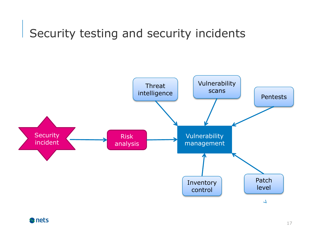#### M a s t e r t e x t s ty l e s Security testing and security incidents